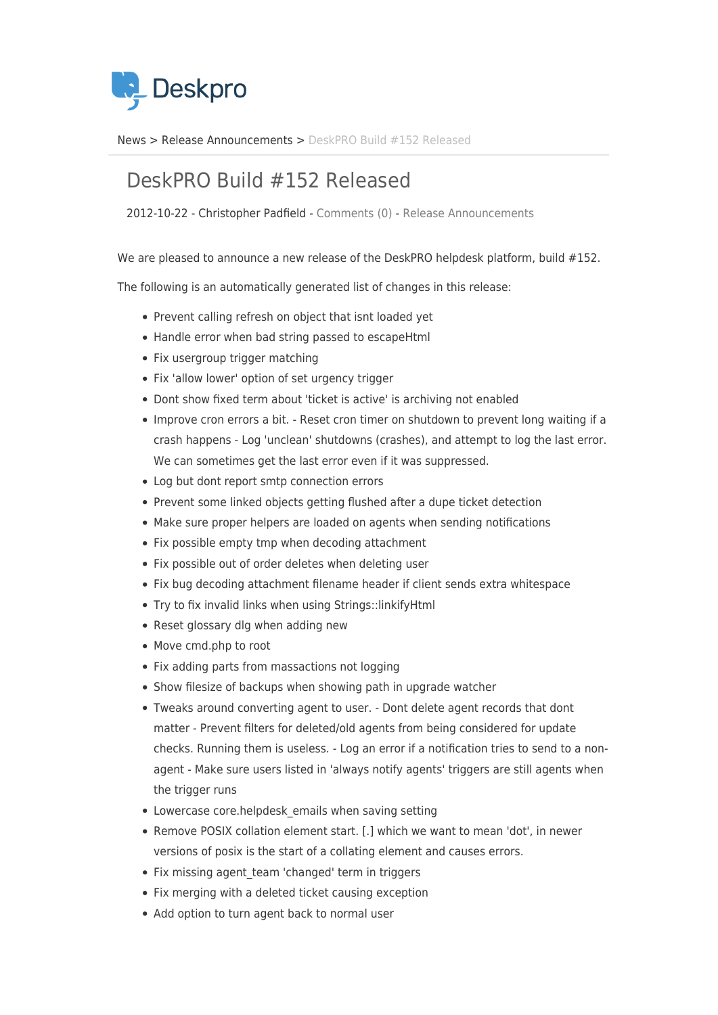

[News](https://support.deskpro.com/sv/news) > [Release Announcements](https://support.deskpro.com/sv/news/release-announcements) > [DeskPRO Build #152 Released](https://support.deskpro.com/sv/news/posts/deskpro-build-152-released)

## DeskPRO Build #152 Released

2012-10-22 - Christopher Padfield - [Comments \(0\)](#page--1-0) - [Release Announcements](https://support.deskpro.com/sv/news/release-announcements)

We are pleased to announce a new release of the DeskPRO helpdesk platform, build #152.

The following is an automatically generated list of changes in this release:

- Prevent calling refresh on object that isnt loaded yet
- Handle error when bad string passed to escapeHtml
- Fix usergroup trigger matching
- Fix 'allow lower' option of set urgency trigger
- Dont show fixed term about 'ticket is active' is archiving not enabled
- Improve cron errors a bit. Reset cron timer on shutdown to prevent long waiting if a crash happens - Log 'unclean' shutdowns (crashes), and attempt to log the last error. We can sometimes get the last error even if it was suppressed.
- Log but dont report smtp connection errors
- Prevent some linked objects getting flushed after a dupe ticket detection
- Make sure proper helpers are loaded on agents when sending notifications
- Fix possible empty tmp when decoding attachment
- Fix possible out of order deletes when deleting user
- Fix bug decoding attachment filename header if client sends extra whitespace
- Try to fix invalid links when using Strings::linkifyHtml
- Reset glossary dlg when adding new
- Move cmd.php to root
- Fix adding parts from massactions not logging
- Show filesize of backups when showing path in upgrade watcher
- Tweaks around converting agent to user. Dont delete agent records that dont matter - Prevent filters for deleted/old agents from being considered for update checks. Running them is useless. - Log an error if a notification tries to send to a nonagent - Make sure users listed in 'always notify agents' triggers are still agents when the trigger runs
- Lowercase core.helpdesk emails when saving setting
- Remove POSIX collation element start. [.] which we want to mean 'dot', in newer versions of posix is the start of a collating element and causes errors.
- Fix missing agent team 'changed' term in triggers
- Fix merging with a deleted ticket causing exception
- Add option to turn agent back to normal user